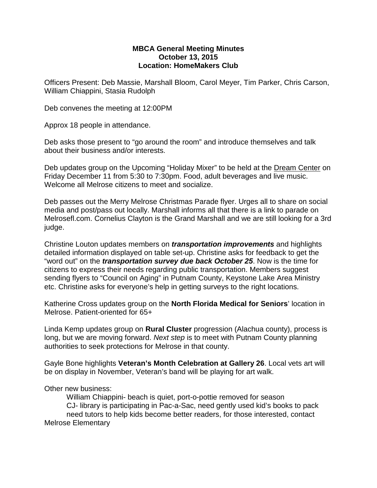## **MBCA General Meeting Minutes October 13, 2015 Location: HomeMakers Club**

Officers Present: Deb Massie, Marshall Bloom, Carol Meyer, Tim Parker, Chris Carson, William Chiappini, Stasia Rudolph

Deb convenes the meeting at 12:00PM

Approx 18 people in attendance.

Deb asks those present to "go around the room" and introduce themselves and talk about their business and/or interests.

Deb updates group on the Upcoming "Holiday Mixer" to be held at the Dream Center on Friday December 11 from 5:30 to 7:30pm. Food, adult beverages and live music. Welcome all Melrose citizens to meet and socialize.

Deb passes out the Merry Melrose Christmas Parade flyer. Urges all to share on social media and post/pass out locally. Marshall informs all that there is a link to parade on Melrosefl.com. Cornelius Clayton is the Grand Marshall and we are still looking for a 3rd judge.

Christine Louton updates members on *transportation improvements* and highlights detailed information displayed on table set-up. Christine asks for feedback to get the "word out" on the *transportation survey due back October 25*. Now is the time for citizens to express their needs regarding public transportation. Members suggest sending flyers to "Council on Aging" in Putnam County, Keystone Lake Area Ministry etc. Christine asks for everyone's help in getting surveys to the right locations.

Katherine Cross updates group on the **North Florida Medical for Seniors**' location in Melrose. Patient-oriented for 65+

Linda Kemp updates group on **Rural Cluster** progression (Alachua county), process is long, but we are moving forward. *Next step* is to meet with Putnam County planning authorities to seek protections for Melrose in that county.

Gayle Bone highlights **Veteran's Month Celebration at Gallery 26**. Local vets art will be on display in November, Veteran's band will be playing for art walk.

Other new business:

William Chiappini- beach is quiet, port-o-pottie removed for season CJ- library is participating in Pac-a-Sac, need gently used kid's books to pack need tutors to help kids become better readers, for those interested, contact Melrose Elementary